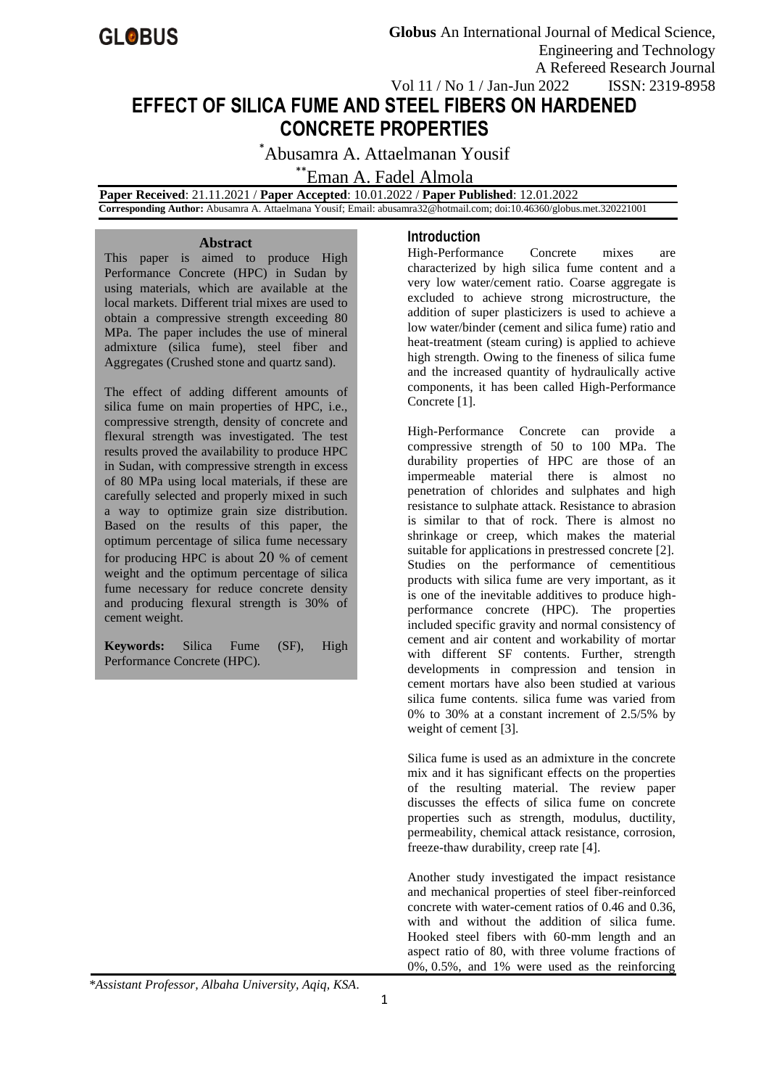

# **EFFECT OF SILICA FUME AND STEEL FIBERS ON HARDENED CONCRETE PROPERTIES**

\*Abusamra A. Attaelmanan Yousif

# \*\*Eman A. Fadel Almola

 **Paper Received**: 21.11.2021 / **Paper Accepted**: 10.01.2022 / **Paper Published**: 12.01.2022  **Corresponding Author:** Abusamra A. Attaelmana Yousif; Email: abusamra32@hotmail.com; doi:10.46360/globus.met.320221001

#### **Abstract**

This paper is aimed to produce High Performance Concrete (HPC) in Sudan by using materials, which are available at the local markets. Different trial mixes are used to obtain a compressive strength exceeding 80 MPa. The paper includes the use of mineral admixture (silica fume), steel fiber and Aggregates (Crushed stone and quartz sand).

The effect of adding different amounts of silica fume on main properties of HPC, i.e., compressive strength, density of concrete and flexural strength was investigated. The test results proved the availability to produce HPC in Sudan, with compressive strength in excess of 80 MPa using local materials, if these are carefully selected and properly mixed in such a way to optimize grain size distribution. Based on the results of this paper, the optimum percentage of silica fume necessary for producing HPC is about 20 % of cement weight and the optimum percentage of silica fume necessary for reduce concrete density and producing flexural strength is 30% of cement weight.

**Keywords:** Silica Fume (SF), High Performance Concrete (HPC).

## **Introduction**

High-Performance Concrete mixes are characterized by high silica fume content and a very low water/cement ratio. Coarse aggregate is excluded to achieve strong microstructure, the addition of super plasticizers is used to achieve a low water/binder (cement and silica fume) ratio and heat-treatment (steam curing) is applied to achieve high strength. Owing to the fineness of silica fume and the increased quantity of hydraulically active components, it has been called High-Performance Concrete [1].

High-Performance Concrete can provide a compressive strength of 50 to 100 MPa. The durability properties of HPC are those of an impermeable material there is almost no penetration of chlorides and sulphates and high resistance to sulphate attack. Resistance to abrasion is similar to that of rock. There is almost no shrinkage or creep, which makes the material suitable for applications in prestressed concrete [2]. Studies on the performance of cementitious products with silica fume are very important, as it is one of the inevitable additives to produce highperformance concrete (HPC). The properties included specific gravity and normal consistency of cement and air content and workability of mortar with different SF contents. Further, strength developments in compression and tension in cement mortars have also been studied at various silica fume contents. silica fume was varied from 0% to 30% at a constant increment of 2.5/5% by weight of cement [3].

Silica fume is used as an admixture in the concrete mix and it has significant effects on the properties of the resulting material. The review paper discusses the effects of silica fume on concrete properties such as strength, modulus, ductility, permeability, chemical attack resistance, corrosion, freeze-thaw durability, creep rate [4].

Another study investigated the impact resistance and mechanical properties of steel fiber-reinforced concrete with water-cement ratios of 0.46 and 0.36, with and without the addition of silica fume. Hooked steel fibers with 60-mm length and an aspect ratio of 80, with three volume fractions of 0%, 0.5%, and 1% were used as the reinforcing

*\*Assistant Professor, Albaha University, Aqiq, KSA.*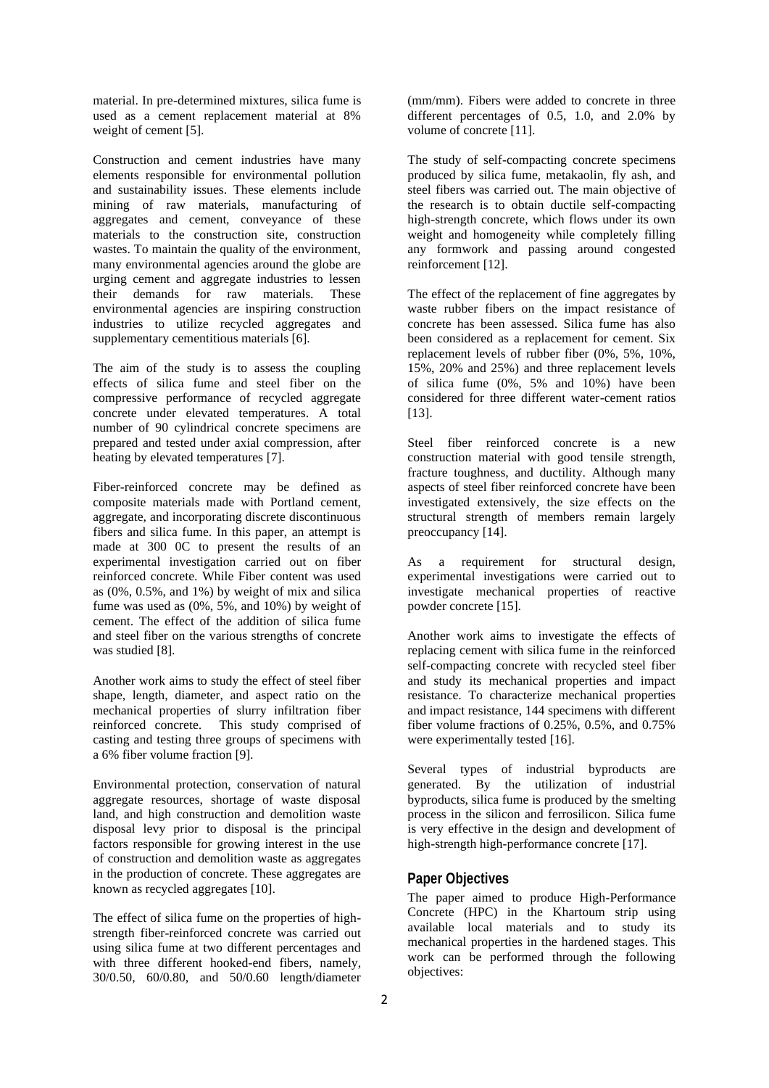material. In pre-determined mixtures, silica fume is used as a cement replacement material at 8% weight of cement [5].

Construction and cement industries have many elements responsible for environmental pollution and sustainability issues. These elements include mining of raw materials, manufacturing of aggregates and cement, conveyance of these materials to the construction site, construction wastes. To maintain the quality of the environment, many environmental agencies around the globe are urging cement and aggregate industries to lessen their demands for raw materials. These environmental agencies are inspiring construction industries to utilize recycled aggregates and supplementary cementitious materials [6].

The aim of the study is to assess the coupling effects of silica fume and steel fiber on the compressive performance of recycled aggregate concrete under elevated temperatures. A total number of 90 cylindrical concrete specimens are prepared and tested under axial compression, after heating by elevated temperatures [7].

Fiber-reinforced concrete may be defined as composite materials made with Portland cement, aggregate, and incorporating discrete discontinuous fibers and silica fume. In this paper, an attempt is made at 300 0C to present the results of an experimental investigation carried out on fiber reinforced concrete. While Fiber content was used as  $(0\%, 0.5\%, \text{ and } 1\%)$  by weight of mix and silica fume was used as (0%, 5%, and 10%) by weight of cement. The effect of the addition of silica fume and steel fiber on the various strengths of concrete was studied [8].

Another work aims to study the effect of steel fiber shape, length, diameter, and aspect ratio on the mechanical properties of slurry infiltration fiber reinforced concrete. This study comprised of casting and testing three groups of specimens with a 6% fiber volume fraction [9].

Environmental protection, conservation of natural aggregate resources, shortage of waste disposal land, and high construction and demolition waste disposal levy prior to disposal is the principal factors responsible for growing interest in the use of construction and demolition waste as aggregates in the production of concrete. These aggregates are known as recycled aggregates [10].

The effect of silica fume on the properties of highstrength fiber-reinforced concrete was carried out using silica fume at two different percentages and with three different hooked-end fibers, namely, 30/0.50, 60/0.80, and 50/0.60 length/diameter

(mm/mm). Fibers were added to concrete in three different percentages of 0.5, 1.0, and 2.0% by volume of concrete [11].

The study of self-compacting concrete specimens produced by silica fume, metakaolin, fly ash, and steel fibers was carried out. The main objective of the research is to obtain ductile self-compacting high-strength concrete, which flows under its own weight and homogeneity while completely filling any formwork and passing around congested reinforcement [12].

The effect of the replacement of fine aggregates by waste rubber fibers on the impact resistance of concrete has been assessed. Silica fume has also been considered as a replacement for cement. Six replacement levels of rubber fiber (0%, 5%, 10%, 15%, 20% and 25%) and three replacement levels of silica fume  $(0\%, 5\%$  and  $10\%)$  have been considered for three different water-cement ratios [13].

Steel fiber reinforced concrete is a new construction material with good tensile strength, fracture toughness, and ductility. Although many aspects of steel fiber reinforced concrete have been investigated extensively, the size effects on the structural strength of members remain largely preoccupancy [14].

As a requirement for structural design, experimental investigations were carried out to investigate mechanical properties of reactive powder concrete [15].

Another work aims to investigate the effects of replacing cement with silica fume in the reinforced self-compacting concrete with recycled steel fiber and study its mechanical properties and impact resistance. To characterize mechanical properties and impact resistance, 144 specimens with different fiber volume fractions of 0.25%, 0.5%, and 0.75% were experimentally tested [16].

Several types of industrial byproducts are generated. By the utilization of industrial byproducts, silica fume is produced by the smelting process in the silicon and ferrosilicon. Silica fume is very effective in the design and development of high-strength high-performance concrete [17].

#### **Paper Objectives**

The paper aimed to produce High-Performance Concrete (HPC) in the Khartoum strip using available local materials and to study its mechanical properties in the hardened stages. This work can be performed through the following objectives: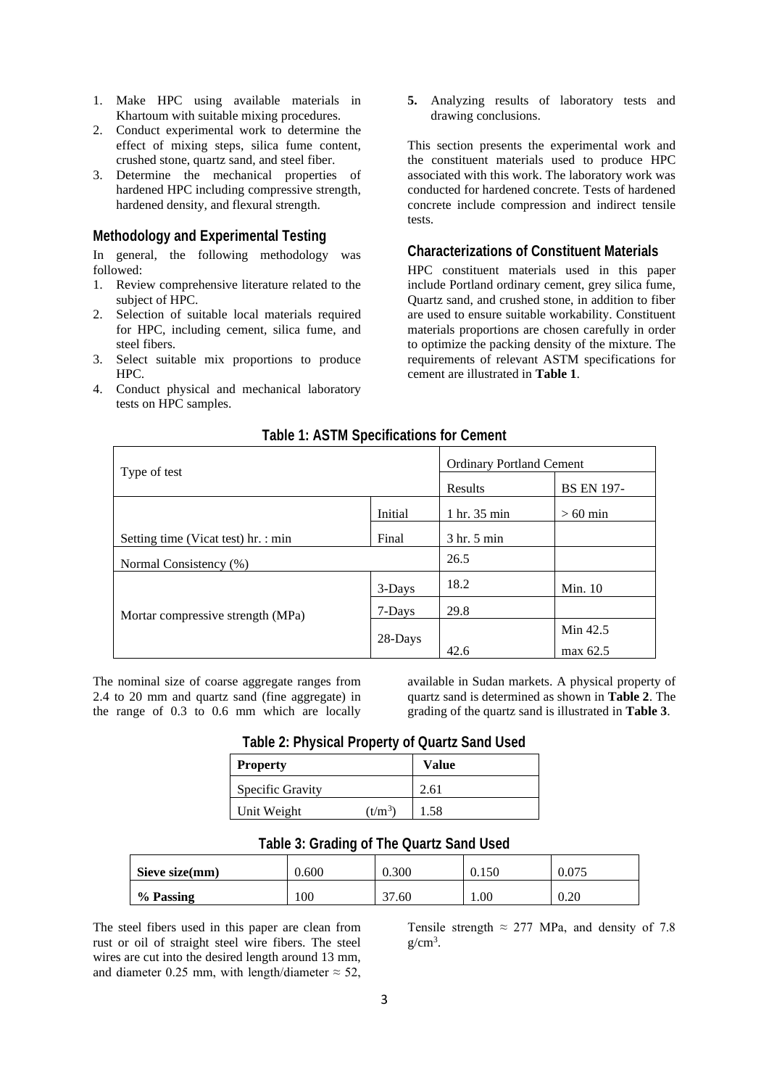- 1. Make HPC using available materials in Khartoum with suitable mixing procedures.
- 2. Conduct experimental work to determine the effect of mixing steps, silica fume content, crushed stone, quartz sand, and steel fiber.
- 3. Determine the mechanical properties of hardened HPC including compressive strength, hardened density, and flexural strength.

## **Methodology and Experimental Testing**

In general, the following methodology was followed:

- 1. Review comprehensive literature related to the subject of HPC.
- 2. Selection of suitable local materials required for HPC, including cement, silica fume, and steel fibers.
- 3. Select suitable mix proportions to produce HPC.
- 4. Conduct physical and mechanical laboratory tests on HPC samples.

**5.** Analyzing results of laboratory tests and drawing conclusions.

This section presents the experimental work and the constituent materials used to produce HPC associated with this work. The laboratory work was conducted for hardened concrete. Tests of hardened concrete include compression and indirect tensile tests.

#### **Characterizations of Constituent Materials**

HPC constituent materials used in this paper include Portland ordinary cement, grey silica fume, Quartz sand, and crushed stone, in addition to fiber are used to ensure suitable workability. Constituent materials proportions are chosen carefully in order to optimize the packing density of the mixture. The requirements of relevant ASTM specifications for cement are illustrated in **Table 1**.

| Type of test                        |         | <b>Ordinary Portland Cement</b> |                   |
|-------------------------------------|---------|---------------------------------|-------------------|
|                                     |         | Results                         | <b>BS EN 197-</b> |
| Initial                             |         | 1 hr. 35 min                    | $>60$ min         |
| Setting time (Vicat test) hr. : min | Final   | 3 hr. 5 min                     |                   |
| Normal Consistency (%)              |         | 26.5                            |                   |
|                                     | 3-Days  | 18.2                            | Min. $10$         |
| Mortar compressive strength (MPa)   | 7-Days  | 29.8                            |                   |
|                                     | 28-Days |                                 | Min 42.5          |
|                                     |         | 42.6                            | max 62.5          |

## **Table 1: ASTM Specifications for Cement**

The nominal size of coarse aggregate ranges from 2.4 to 20 mm and quartz sand (fine aggregate) in the range of 0.3 to 0.6 mm which are locally

available in Sudan markets. A physical property of quartz sand is determined as shown in **Table 2**. The grading of the quartz sand is illustrated in **Table 3**.

| <b>Property</b>         |           | Value |
|-------------------------|-----------|-------|
| <b>Specific Gravity</b> |           | 2.61  |
| Unit Weight             | $(t/m^3)$ | 1.58  |

**Table 2: Physical Property of Quartz Sand Used**

## **Table 3: Grading of The Quartz Sand Used**

| Sieve size(mm) | 0.600 | 0.300 | 0.150 | 0.075 |
|----------------|-------|-------|-------|-------|
| % Passing      | 100   | 37.60 | 1.00  | V.ZU  |

The steel fibers used in this paper are clean from rust or oil of straight steel wire fibers. The steel wires are cut into the desired length around 13 mm, and diameter 0.25 mm, with length/diameter  $\approx$  52,

Tensile strength  $\approx 277$  MPa, and density of 7.8  $g/cm<sup>3</sup>$ .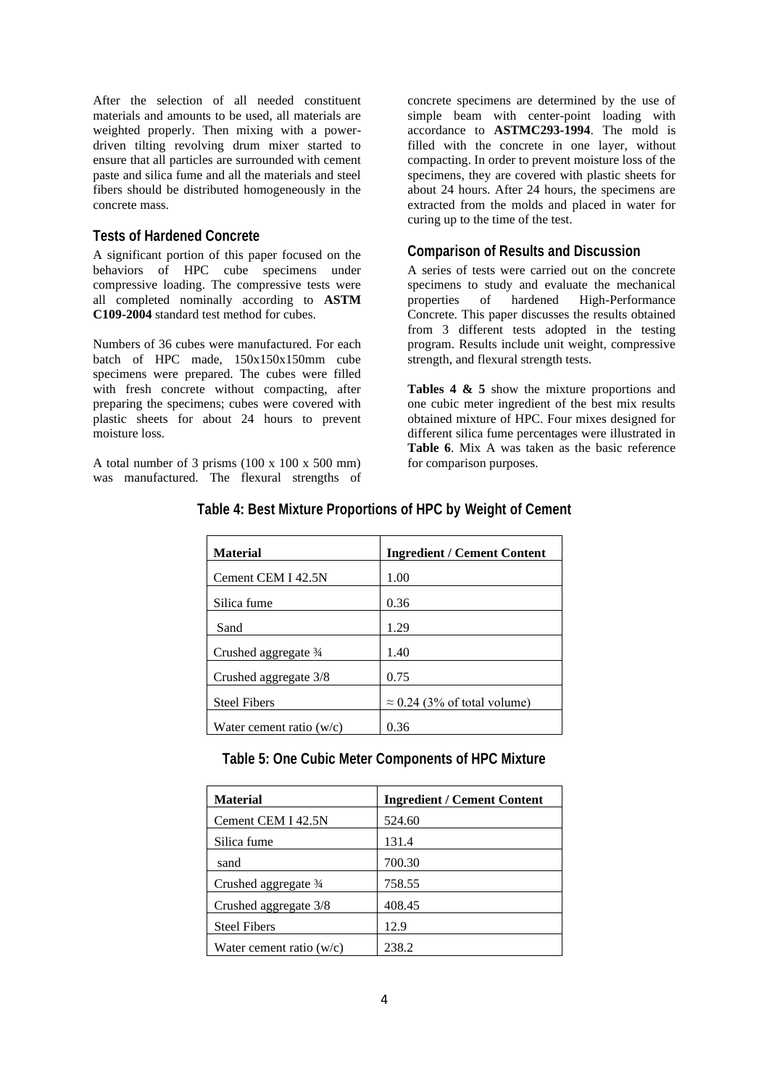After the selection of all needed constituent materials and amounts to be used, all materials are weighted properly. Then mixing with a powerdriven tilting revolving drum mixer started to ensure that all particles are surrounded with cement paste and silica fume and all the materials and steel fibers should be distributed homogeneously in the concrete mass.

#### **Tests of Hardened Concrete**

A significant portion of this paper focused on the behaviors of HPC cube specimens under compressive loading. The compressive tests were all completed nominally according to **ASTM C109-2004** standard test method for cubes.

Numbers of 36 cubes were manufactured. For each batch of HPC made, 150x150x150mm cube specimens were prepared. The cubes were filled with fresh concrete without compacting, after preparing the specimens; cubes were covered with plastic sheets for about 24 hours to prevent moisture loss.

A total number of 3 prisms  $(100 \times 100 \times 500 \text{ mm})$ was manufactured. The flexural strengths of

concrete specimens are determined by the use of simple beam with center-point loading with accordance to **ASTMC293-1994**. The mold is filled with the concrete in one layer, without compacting. In order to prevent moisture loss of the specimens, they are covered with plastic sheets for about 24 hours. After 24 hours, the specimens are extracted from the molds and placed in water for curing up to the time of the test.

### **Comparison of Results and Discussion**

A series of tests were carried out on the concrete specimens to study and evaluate the mechanical properties of hardened High-Performance Concrete. This paper discusses the results obtained from 3 different tests adopted in the testing program. Results include unit weight, compressive strength, and flexural strength tests.

**Tables 4 & 5** show the mixture proportions and one cubic meter ingredient of the best mix results obtained mixture of HPC. Four mixes designed for different silica fume percentages were illustrated in **Table 6**. Mix A was taken as the basic reference for comparison purposes.

| <b>Material</b>            | <b>Ingredient / Cement Content</b>  |
|----------------------------|-------------------------------------|
| Cement CEM I 42.5N         | 1.00                                |
| Silica fume                | 0.36                                |
| Sand                       | 1.29                                |
| Crushed aggregate 3/4      | 1.40                                |
| Crushed aggregate 3/8      | 0.75                                |
| <b>Steel Fibers</b>        | $\approx$ 0.24 (3% of total volume) |
| Water cement ratio $(w/c)$ | 0.36                                |

## **Table 4: Best Mixture Proportions of HPC by Weight of Cement**

## **Table 5: One Cubic Meter Components of HPC Mixture**

| <b>Material</b>            | <b>Ingredient / Cement Content</b> |
|----------------------------|------------------------------------|
| Cement CEM I 42.5N         | 524.60                             |
| Silica fume                | 131.4                              |
| sand                       | 700.30                             |
| Crushed aggregate 3/4      | 758.55                             |
| Crushed aggregate 3/8      | 408.45                             |
| <b>Steel Fibers</b>        | 12.9                               |
| Water cement ratio $(w/c)$ | 238.2                              |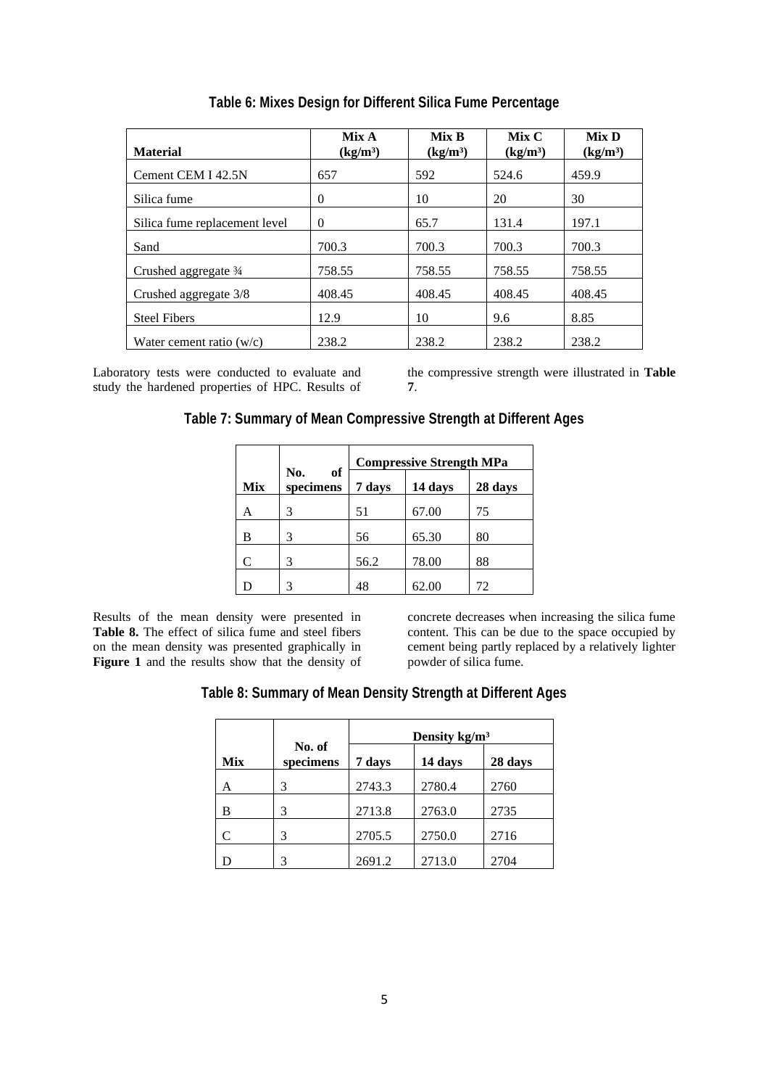| <b>Material</b>               | Mix A<br>(kg/m <sup>3</sup> ) | Mix B<br>(kg/m <sup>3</sup> ) | Mix C<br>$(kg/m^3)$ | Mix D<br>(kg/m <sup>3</sup> ) |
|-------------------------------|-------------------------------|-------------------------------|---------------------|-------------------------------|
| Cement CEM I 42.5N            | 657                           | 592                           | 524.6               | 459.9                         |
| Silica fume                   | 0                             | 10                            | 20                  | 30                            |
| Silica fume replacement level | $\Omega$                      | 65.7                          | 131.4               | 197.1                         |
| Sand                          | 700.3                         | 700.3                         | 700.3               | 700.3                         |
| Crushed aggregate 3/4         | 758.55                        | 758.55                        | 758.55              | 758.55                        |
| Crushed aggregate 3/8         | 408.45                        | 408.45                        | 408.45              | 408.45                        |
| <b>Steel Fibers</b>           | 12.9                          | 10                            | 9.6                 | 8.85                          |
| Water cement ratio $(w/c)$    | 238.2                         | 238.2                         | 238.2               | 238.2                         |

**Table 6: Mixes Design for Different Silica Fume Percentage**

Laboratory tests were conducted to evaluate and study the hardened properties of HPC. Results of

the compressive strength were illustrated in **Table 7**.

| Table 7: Summary of Mean Compressive Strength at Different Ages |
|-----------------------------------------------------------------|
|-----------------------------------------------------------------|

|            |                        | <b>Compressive Strength MPa</b> |         |         |  |
|------------|------------------------|---------------------------------|---------|---------|--|
| <b>Mix</b> | of<br>No.<br>specimens | 7 days                          | 14 days | 28 days |  |
| Α          | 3                      | 51                              | 67.00   | 75      |  |
| B          | 3                      | 56                              | 65.30   | 80      |  |
| C          | 3                      | 56.2                            | 78.00   | 88      |  |
| D          | 3                      | 48                              | 62.00   | 72      |  |

Results of the mean density were presented in **Table 8.** The effect of silica fume and steel fibers on the mean density was presented graphically in **Figure 1** and the results show that the density of concrete decreases when increasing the silica fume content. This can be due to the space occupied by cement being partly replaced by a relatively lighter powder of silica fume.

|     |                     | Density $kg/m3$ |         |         |  |
|-----|---------------------|-----------------|---------|---------|--|
| Mix | No. of<br>specimens | 7 days          | 14 days | 28 days |  |
| Α   | 3                   | 2743.3          | 2780.4  | 2760    |  |
| B   | 3                   | 2713.8          | 2763.0  | 2735    |  |
| C   | 3                   | 2705.5          | 2750.0  | 2716    |  |
| D   | 3                   | 2691.2          | 2713.0  | 2704    |  |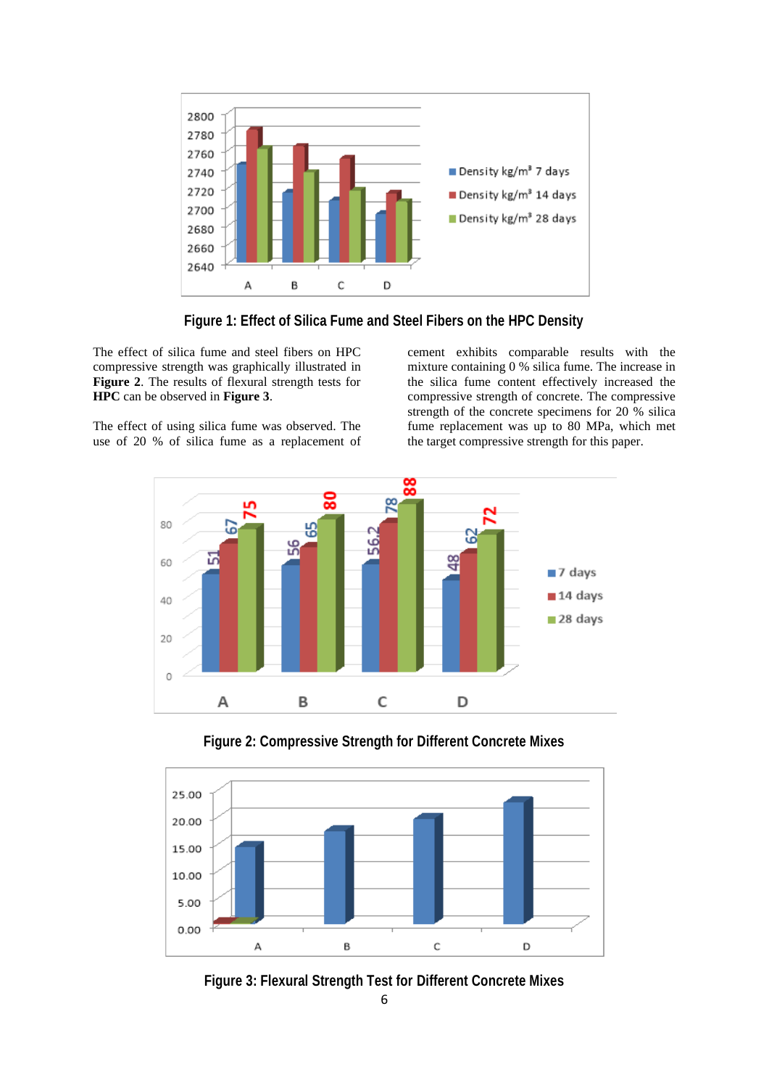

**Figure 1: Effect of Silica Fume and Steel Fibers on the HPC Density**

The effect of silica fume and steel fibers on HPC compressive strength was graphically illustrated in **Figure 2**. The results of flexural strength tests for **HPC** can be observed in **Figure 3**.

The effect of using silica fume was observed. The use of 20 % of silica fume as a replacement of cement exhibits comparable results with the mixture containing 0 % silica fume. The increase in the silica fume content effectively increased the compressive strength of concrete. The compressive strength of the concrete specimens for 20 % silica fume replacement was up to 80 MPa, which met the target compressive strength for this paper.



**Figure 2: Compressive Strength for Different Concrete Mixes**



**Figure 3: Flexural Strength Test for Different Concrete Mixes**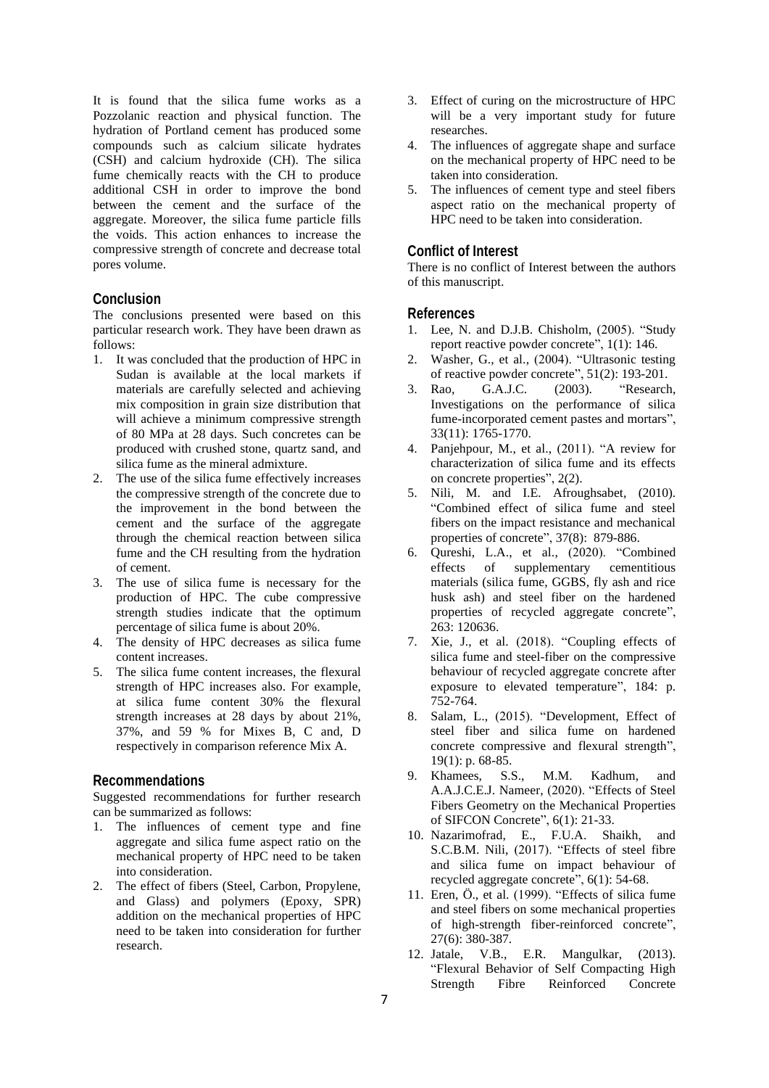It is found that the silica fume works as a Pozzolanic reaction and physical function. The hydration of Portland cement has produced some compounds such as calcium silicate hydrates (CSH) and calcium hydroxide (CH). The silica fume chemically reacts with the CH to produce additional CSH in order to improve the bond between the cement and the surface of the aggregate. Moreover, the silica fume particle fills the voids. This action enhances to increase the compressive strength of concrete and decrease total pores volume.

## **Conclusion**

The conclusions presented were based on this particular research work. They have been drawn as follows:

- 1. It was concluded that the production of HPC in Sudan is available at the local markets if materials are carefully selected and achieving mix composition in grain size distribution that will achieve a minimum compressive strength of 80 MPa at 28 days. Such concretes can be produced with crushed stone, quartz sand, and silica fume as the mineral admixture.
- 2. The use of the silica fume effectively increases the compressive strength of the concrete due to the improvement in the bond between the cement and the surface of the aggregate through the chemical reaction between silica fume and the CH resulting from the hydration of cement.
- 3. The use of silica fume is necessary for the production of HPC. The cube compressive strength studies indicate that the optimum percentage of silica fume is about 20%.
- 4. The density of HPC decreases as silica fume content increases.
- 5. The silica fume content increases, the flexural strength of HPC increases also. For example, at silica fume content 30% the flexural strength increases at 28 days by about 21%, 37%, and 59 % for Mixes B, C and, D respectively in comparison reference Mix A.

#### **Recommendations**

Suggested recommendations for further research can be summarized as follows:

- 1. The influences of cement type and fine aggregate and silica fume aspect ratio on the mechanical property of HPC need to be taken into consideration.
- 2. The effect of fibers (Steel, Carbon, Propylene, and Glass) and polymers (Epoxy, SPR) addition on the mechanical properties of HPC need to be taken into consideration for further research.
- 3. Effect of curing on the microstructure of HPC will be a very important study for future researches.
- 4. The influences of aggregate shape and surface on the mechanical property of HPC need to be taken into consideration.
- 5. The influences of cement type and steel fibers aspect ratio on the mechanical property of HPC need to be taken into consideration.

### **Conflict of Interest**

There is no conflict of Interest between the authors of this manuscript.

#### **References**

- 1. Lee, N. and D.J.B. Chisholm, (2005). "Study report reactive powder concrete", 1(1): 146.
- 2. Washer, G., et al., (2004). "Ultrasonic testing of reactive powder concrete", 51(2): 193-201.
- 3. Rao, G.A.J.C. (2003). "Research, Investigations on the performance of silica fume-incorporated cement pastes and mortars", 33(11): 1765-1770.
- 4. Panjehpour, M., et al., (2011). "A review for characterization of silica fume and its effects on concrete properties", 2(2).
- 5. Nili, M. and I.E. Afroughsabet, (2010). "Combined effect of silica fume and steel fibers on the impact resistance and mechanical properties of concrete", 37(8): 879-886.
- 6. Qureshi, L.A., et al., (2020). "Combined effects of supplementary cementitious materials (silica fume, GGBS, fly ash and rice husk ash) and steel fiber on the hardened properties of recycled aggregate concrete", 263: 120636.
- 7. Xie, J., et al. (2018). "Coupling effects of silica fume and steel-fiber on the compressive behaviour of recycled aggregate concrete after exposure to elevated temperature", 184: p. 752-764.
- 8. Salam, L., (2015). "Development, Effect of steel fiber and silica fume on hardened concrete compressive and flexural strength", 19(1): p. 68-85.
- 9. Khamees, S.S., M.M. Kadhum, and A.A.J.C.E.J. Nameer, (2020). "Effects of Steel Fibers Geometry on the Mechanical Properties of SIFCON Concrete", 6(1): 21-33.
- 10. Nazarimofrad, E., F.U.A. Shaikh, and S.C.B.M. Nili, (2017). "Effects of steel fibre and silica fume on impact behaviour of recycled aggregate concrete", 6(1): 54-68.
- 11. Eren, Ö., et al. (1999). "Effects of silica fume and steel fibers on some mechanical properties of high-strength fiber-reinforced concrete", 27(6): 380-387.
- 12. Jatale, V.B., E.R. Mangulkar, (2013). "Flexural Behavior of Self Compacting High Strength Fibre Reinforced Concrete